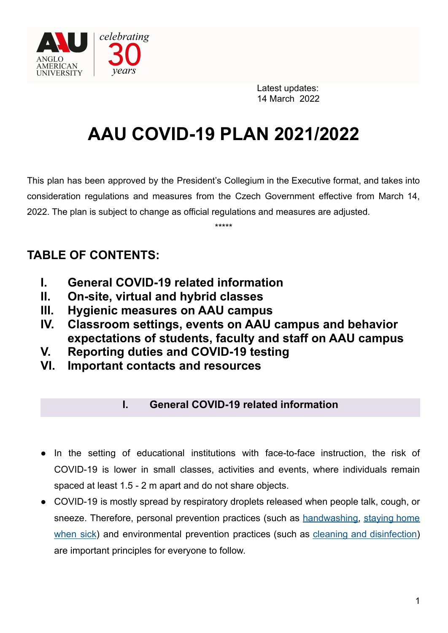

# **AAU COVID-19 PLAN 2021/2022**

This plan has been approved by the President's Collegium in the Executive format, and takes into consideration regulations and measures from the Czech Government effective from March 14, 2022. The plan is subject to change as official regulations and measures are adjusted.

\*\*\*\*\*

# **TABLE OF CONTENTS:**

- **I. General COVID-19 related information**
- **II. On-site, virtual and hybrid classes**
- **III. Hygienic measures on AAU campus**
- **IV. Classroom settings, events on AAU campus and behavior expectations of students, faculty and staff on AAU campus**
- **V. Reporting duties and COVID-19 testing**
- **VI. Important contacts and resources**

## **I. General COVID-19 related information**

- In the setting of educational institutions with face-to-face instruction, the risk of COVID-19 is lower in small classes, activities and events, where individuals remain spaced at least 1.5 - 2 m apart and do not share objects.
- COVID-19 is mostly spread by respiratory droplets released when people talk, cough, or sneeze. Therefore, personal prevention practices (such as [handwashing,](https://www.cdc.gov/handwashing/when-how-handwashing.html) [staying](https://www.cdc.gov/coronavirus/2019-ncov/if-you-are-sick/steps-when-sick.html) home [when](https://www.cdc.gov/coronavirus/2019-ncov/if-you-are-sick/steps-when-sick.html) sick) and environmental prevention practices (such as cleaning and [disinfection\)](https://www.cdc.gov/coronavirus/2019-ncov/community/clean-disinfect/index.html) are important principles for everyone to follow.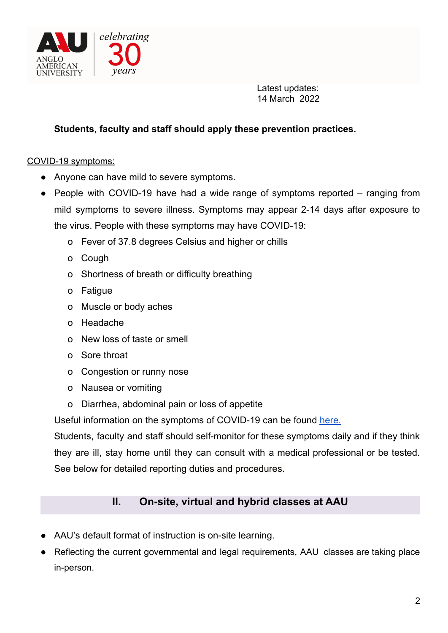

#### **Students, faculty and staff should apply these prevention practices.**

COVID-19 symptoms:

- Anyone can have mild to severe symptoms.
- People with COVID-19 have had a wide range of symptoms reported ranging from mild symptoms to severe illness. Symptoms may appear 2-14 days after exposure to the virus. People with these symptoms may have COVID-19:
	- o Fever of 37.8 degrees Celsius and higher or chills
	- o Cough
	- o Shortness of breath or difficulty breathing
	- o Fatigue
	- o Muscle or body aches
	- o Headache
	- o New loss of taste or smell
	- o Sore throat
	- o Congestion or runny nose
	- o Nausea or vomiting
	- o Diarrhea, abdominal pain or loss of appetite

Useful information on the symptoms of COVID-19 can be found [here.](https://www.cdc.gov/coronavirus/2019-ncov/symptoms-testing/symptoms.html)

Students, faculty and staff should self-monitor for these symptoms daily and if they think they are ill, stay home until they can consult with a medical professional or be tested. See below for detailed reporting duties and procedures.

### **II. On-site, virtual and hybrid classes at AAU**

- AAU's default format of instruction is on-site learning.
- Reflecting the current governmental and legal requirements, AAU classes are taking place in-person.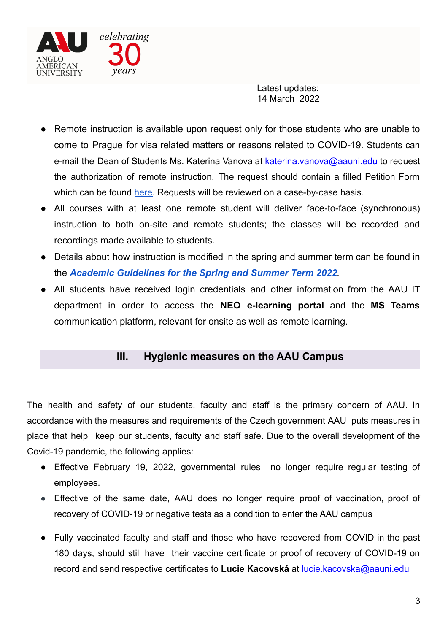

- Remote instruction is available upon request only for those students who are unable to come to Prague for visa related matters or reasons related to COVID-19. Students can e-mail the Dean of Students Ms. Katerina Vanova at katerina.vanova@aauni.edu to request the authorization of remote instruction. The request should contain a filled Petition Form which can be found [here.](https://drive.google.com/file/d/17PpMyHVcrmjKdCg2I5B_fIcGJ4DEPQEa/view) Requests will be reviewed on a case-by-case basis.
- All courses with at least one remote student will deliver face-to-face (synchronous) instruction to both on-site and remote students; the classes will be recorded and recordings made available to students.
- Details about how instruction is modified in the spring and summer term can be found in the *Academic [Guidelines](https://drive.google.com/file/d/1_vO-Em5daO1e9DTMsbNR3Cgyve5RN1kT/view?usp=sharing) for the Spring and Summer Term 2022.*
- All students have received login credentials and other information from the AAU IT department in order to access the **NEO e-learning portal** and the **MS Teams** communication platform, relevant for onsite as well as remote learning.

#### **III. Hygienic measures on the AAU Campus**

The health and safety of our students, faculty and staff is the primary concern of AAU. In accordance with the measures and requirements of the Czech government AAU puts measures in place that help keep our students, faculty and staff safe. Due to the overall development of the Covid-19 pandemic, the following applies:

- **●** Effective February 19, 2022, governmental rules no longer require regular testing of employees.
- **●** Effective of the same date, AAU does no longer require proof of vaccination, proof of recovery of COVID-19 or negative tests as a condition to enter the AAU campus
- Fully vaccinated faculty and staff and those who have recovered from COVID in the past 180 days, should still have their vaccine certificate or proof of recovery of COVID-19 on record and send respective certificates to **Lucie Kacovská** at [lucie.kacovska@aauni.edu](mailto:lucie.kacovska@aauni.edu)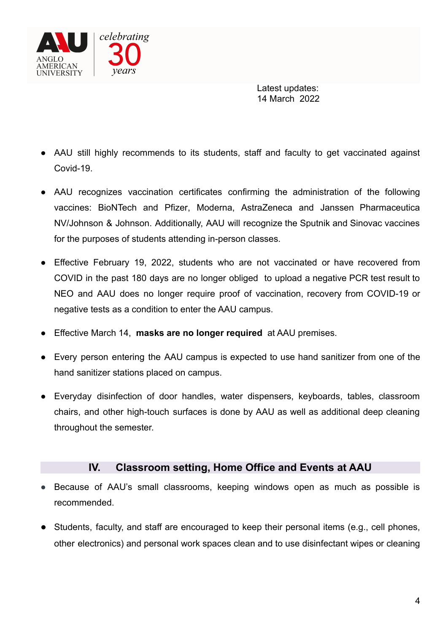

- AAU still highly recommends to its students, staff and faculty to get vaccinated against Covid-19.
- AAU recognizes vaccination certificates confirming the administration of the following vaccines: [BioNTech](https://www.ema.europa.eu/en/news/ema-receives-application-conditional-marketing-authorisation-covid-19-mrna-vaccine-bnt162b2) and Pfizer, [Moderna](https://ec.europa.eu/commission/presscorner/detail/en/ip_21_3), [AstraZeneca](https://ec.europa.eu/commission/presscorner/detail/en/ip_21_306) and Janssen [Pharmaceutica](https://ec.europa.eu/commission/presscorner/detail/en/ip_21_1085) [NV/](https://ec.europa.eu/commission/presscorner/detail/en/ip_21_1085)Johnson & Johnson. Additionally, AAU will recognize the Sputnik and Sinovac vaccines for the purposes of students attending in-person classes.
- Effective February 19, 2022, students who are not vaccinated or have recovered from COVID in the past 180 days are no longer obliged to upload a negative PCR test result to NEO and AAU does no longer require proof of vaccination, recovery from COVID-19 or negative tests as a condition to enter the AAU campus.
- **Effective March 14, masks are no longer required** at AAU premises.
- Every person entering the AAU campus is expected to use hand sanitizer from one of the hand sanitizer stations placed on campus.
- Everyday disinfection of door handles, water dispensers, keyboards, tables, classroom chairs, and other high-touch surfaces is done by AAU as well as additional deep cleaning throughout the semester.

#### **IV. Classroom setting, Home Office and Events at AAU**

- Because of AAU's small classrooms, keeping windows open as much as possible is recommended.
- Students, faculty, and staff are encouraged to keep their personal items (e.g., cell phones, other electronics) and personal work spaces clean and to use disinfectant wipes or cleaning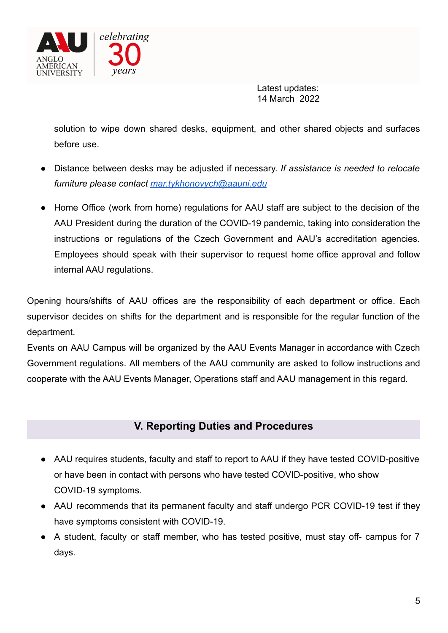

solution to wipe down shared desks, equipment, and other shared objects and surfaces before use.

- Distance between desks may be adjusted if necessary. *If assistance is needed to relocate furniture please contact [mar.tykhonovych@aauni.edu](mailto:mar.tykhonovych@aauni.edu)*
- *●* Home Office (work from home) regulations for AAU staff are subject to the decision of the AAU President during the duration of the COVID-19 pandemic, taking into consideration the instructions or regulations of the Czech Government and AAU's accreditation agencies. Employees should speak with their supervisor to request home office approval and follow internal AAU regulations.

Opening hours/shifts of AAU offices are the responsibility of each department or office. Each supervisor decides on shifts for the department and is responsible for the regular function of the department.

Events on AAU Campus will be organized by the AAU Events Manager in accordance with Czech Government regulations. All members of the AAU community are asked to follow instructions and cooperate with the AAU Events Manager, Operations staff and AAU management in this regard.

### **V. Reporting Duties and Procedures**

- AAU requires students, faculty and staff to report to AAU if they have tested COVID-positive or have been in contact with persons who have tested COVID-positive, who show COVID-19 symptoms.
- AAU recommends that its permanent faculty and staff undergo PCR COVID-19 test if they have symptoms consistent with COVID-19.
- A student, faculty or staff member, who has tested positive, must stay off- campus for 7 days.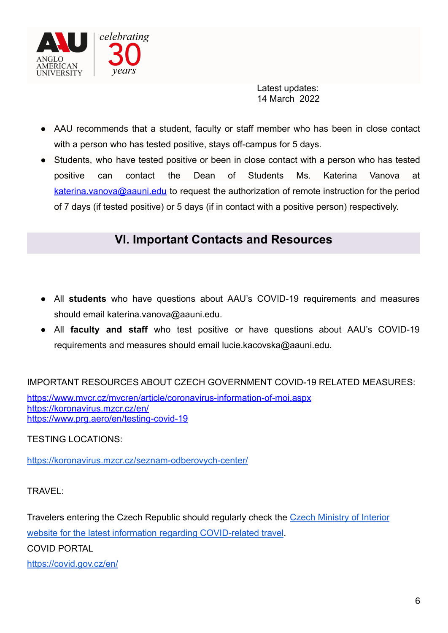

- AAU recommends that a student, faculty or staff member who has been in close contact with a person who has tested positive, stays off-campus for 5 days.
- Students, who have tested positive or been in close contact with a person who has tested positive can contact the Dean of Students Ms. Katerina Vanova at katerina.vanova@aauni.edu to request the authorization of remote instruction for the period of 7 days (if tested positive) or 5 days (if in contact with a positive person) respectively.

# **VI. Important Contacts and Resources**

- All **students** who have questions about AAU's COVID-19 requirements and measures should email katerina.vanova@aauni.edu.
- All **faculty and staff** who test positive or have questions about AAU's COVID-19 requirements and measures should email lucie.kacovska@aauni.edu.

IMPORTANT RESOURCES ABOUT CZECH GOVERNMENT COVID-19 RELATED MEASURES:

<https://www.mvcr.cz/mvcren/article/coronavirus-information-of-moi.aspx> <https://koronavirus.mzcr.cz/en/> <https://www.prg.aero/en/testing-covid-19>

TESTING LOCATIONS:

<https://koronavirus.mzcr.cz/seznam-odberovych-center/>

TRAVEL:

Travelers entering the Czech Republic should regularly check the [Czech Ministry of Interior](https://www.mvcr.cz/mvcren/article/coronavirus-information-of-moi.aspx) [website for the latest information regarding COVID-related travel](https://www.mvcr.cz/mvcren/article/coronavirus-information-of-moi.aspx).

COVID PORTAL

<https://covid.gov.cz/en/>